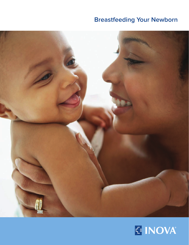# **Breastfeeding Your Newborn**



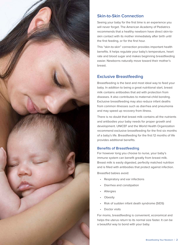

# **Skin-to-Skin Connection**

Seeing your baby for the first time is an experience you will never forget. The American Academy of Pediatrics recommends that a healthy newborn have direct skin-toskin contact with its mother immediately after birth until the first feeding, or for the first hour.

This "skin-to-skin" connection provides important health benefits. It helps regulate your baby's temperature, heart rate and blood sugar and makes beginning breastfeeding easier. Newborns naturally move toward their mother's breast.

# **Exclusive Breastfeeding**

Breastfeeding is the best and most ideal way to feed your baby. In addition to being a great nutritional start, breast milk contains antibodies that aid with protection from diseases. It also contributes to maternal-child bonding. Exclusive breastfeeding may also reduce infant deaths from common illnesses such as diarrhea and pneumonia and may speed up recovery from illness.

There is no doubt that breast milk contains all the nutrients and antibodies your baby needs for proper growth and development. UNICEF and the World Health Organization recommend exclusive breastfeeding for the first six months of a baby's life. Breastfeeding for the first 12 months of life provides additional benefits.

# **Benefits of Breastfeeding**

For however long you choose to nurse, your baby's immune system can benefit greatly from breast milk. Breast milk is easily digested, perfectly matched nutrition and is filled with antibodies that protect against infection.

Breastfed babies avoid:

- Respiratory and ear infections
- Diarrhea and constipation
- **Allergies**
- **Obesity**
- Risk of sudden infant death syndrome (SIDS)
- Doctor visits

For moms, breastfeeding is convenient, economical and helps the uterus return to its normal size faster. It can be a beautiful way to bond with your baby.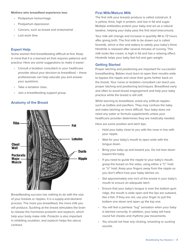#### **Mothers who breastfeed experience less:**

- **•** Postpartum hemorrhage
- **•** Postpartum depression
- **•** Cancers, such as breast and endometrial
- **•** Lost work time

# **Expert Help**

Some women find breastfeeding difficult at first. Keep in mind that it is a learned art that requires patience and practice. Here are some suggestions to make it easier:

- **•** Consult a lactation consultant or your healthcare provider about your decision to breastfeed – these professionals can help educate you and answer your questions.
- **•** Take a lactation class.
- **•** Join a breastfeeding support group.

# **Anatomy of the Breast**

![](_page_2_Picture_11.jpeg)

Breastfeeding success has nothing to do with the size of your breasts or nipples. It is a supply-and-demand process. The more you breastfeed, the more milk you will produce. Suckling at the breast stimulates the brain to release the hormones prolactin and oxytocin, which help your body make milk. Prolactin is also important in inhibiting ovulation, and oxytocin helps the uterus contract.

#### **First Milk/Mature Milk**

The first milk your breasts produce is called colostrum. It is yellow, thick, high in protein, and low in fat and sugar. Multiple antibodies protect your baby and act as a natural laxative, helping your baby pass the first stool (meconium).

Your milk will change and increase in quantity 48 to 72 hours after giving birth. The first milk to be drawn out is called foremilk, which is thin and watery to satisfy your baby's thirst. Hindmilk is released after several minutes of nursing. This milk looks like cream, is high in fat and has a relaxing effect. Hindmilk helps your baby feel full and gain weight.

# **Getting Started**

Proper latching and positioning are important for successful breastfeeding. Babies must learn to open their mouths wide to bypass the nipple and close their gums farther back on the breast. Your nurse or lactation consultant can teach you proper latching and positioning techniques. Breastfeed early and often to avoid breast engorgement and help your baby practice while the breast is still soft.

While learning to breastfeed, avoid any artificial nipples such as bottles and pacifiers. They may confuse the baby and make latching on more difficult. Your baby does not need any water or formula supplements unless your healthcare provider determines they are medically needed.

Here are some position and latch tips:

- **•** Hold your baby close to you with the nose in line with your nipple.
- **•** Wait for your baby's mouth to open wide with the tongue down.
- **•** Bring your baby up and toward you. Do not lean down toward the baby.
- **•** If you need to guide the nipple to your baby's mouth, grasp the breast on the sides, using either a "C" hold or "U" hold. Keep your fingers away from the nipple so you don't affect how your baby latches on.
- **•** Get approximately one inch of the areola in your baby's mouth to ensure an adequate latch.
- **•** Ensure that your baby's tongue is over the bottom gum ridge, the mouth is wide open and the lips are outward, like a fish. If they are not, use your finger to pull the bottom one down and open up the top one.
- **•** You will feel a painless "tug" sensation when your baby is latched correctly. In addition, your baby will have round full cheeks and rhythmic jaw movements.
- **•** You should not hear any clicking, smacking or sucking sounds.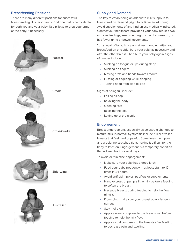# **Breastfeeding Positions**

There are many different positions for successful breastfeeding. It is important to find one that is comfortable for both you and your baby. Use pillows to prop your arms or the baby, if necessary.

![](_page_3_Picture_2.jpeg)

# **Supply and Demand**

The key to establishing an adequate milk supply is to breastfeed on demand (eight to 12 times in 24 hours). Avoid supplements of any kind unless medically indicated. Contact your healthcare provider if your baby refuses two or more feedings, seems lethargic or hard to wake up, or has fewer urine or bowel movements.

You should offer both breasts at each feeding. After you breastfeed on one side, burp your baby as necessary and offer the other breast. Then burp your baby again. Signs of hunger include:

- **•** Sucking on tongue or lips during sleep
- **•** Sucking on fingers
- **•** Moving arms and hands towards mouth
- **•** Fussing or fidgeting while sleeping
- **•** Turning head from side to side

#### Signs of being full include:

- **•** Falling asleep
- **•** Relaxing the body
- **•** Opening fists
- **•** Relaxing the face
- **•** Letting go of the nipple

## **Engorgement**

Breast engorgement, especially as colostrum changes to mature milk, is normal. Symptoms include full or swollen breasts that feel hard or painful. Sometimes the nipple and areola are stretched tight, making it difficult for the baby to latch on. Engorgement is a temporary condition that will resolve in several days.

To avoid or minimize engorgement:

- **•** Make sure your baby has a good latch
- **•** Feed your baby frequently at least eight to 12 times in 24 hours.
- **•** Avoid artificial nipples, pacifiers or supplements
- **•** Hand express or pump a little milk before a feeding to soften the breast.
- **•** Massage breasts during feeding to help the flow of milk.
- **•** If pumping, make sure your breast pump flange is correct.
- **•** Stay hydrated.
- **•** Apply a warm compress to the breasts just before feeding to help the milk flow.
- **•** Apply a cold compress to the breasts after feeding to decrease pain and swelling.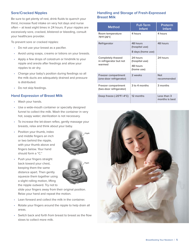# **Sore/Cracked Nipples**

Be sure to get plenty of rest, drink fluids to quench your thirst, increase fluid intake on very hot days and nurse often – at least eight times in 24 hours. If your nipples are excessively sore, cracked, blistered or bleeding, consult your healthcare provider.

To prevent sore or cracked nipples:

- **•** Do not use your breast as a pacifier.
- **•** Avoid using soaps, creams or lotions on your breasts.
- **•** Apply a few drops of colostrum or hindmilk to your nipple and areola after feedings and allow your nipples to air dry.
- **•** Change your baby's position during feedings so all the milk ducts are adequately drained and pressure is distributed.
- **•** Do not skip feedings.

### **Hand Expression of Breast Milk**

- **•** Wash your hands.
- **•** Use a wide-mouth container or specially designed funnel to collect the milk. Wash the container in very hot, soapy water; sterilization is not necessary.
- **•** To increase the let-down reflex, gently massage your breasts, relax and think about your baby.
- **•** Position your thumb, index and middle fingers an inch or two behind the nipple, with your thumb above and fingers below. Your hand should form a "C."

![](_page_4_Picture_13.jpeg)

**•** Push your fingers straight back toward your chest, keeping them the same distance apart. Then gently squeeze them together using a slight rolling motion, lifting the nipple outward. Try not to

![](_page_4_Picture_15.jpeg)

slide your fingers away from their original position. Relax your hand and repeat the motion.

- **•** Lean forward and collect the milk in the container.
- **•** Rotate your fingers around the nipple to help drain all areas.
- **•** Switch back and forth from breast to breast as the flow slows to collect more milk.

## **Handling and Storage of Fresh-Expressed Breast Milk**

| <b>Method</b>                                                 | <b>Full-Term</b><br><b>Infant</b>                    | Preterm<br><b>Infant</b>      |
|---------------------------------------------------------------|------------------------------------------------------|-------------------------------|
| Room temperature<br>79°F/26°C                                 | 4 hours                                              | 4 hours                       |
| Refrigerator                                                  | 48 hours<br>(hospital use)<br>8 days (home use)      | 48 hours                      |
| <b>Completely thawed</b><br>in refrigerator but not<br>warmed | 24 hours<br>(hospital use)<br>48 hours<br>(home use) | 24 hours                      |
| <b>Freezer compartment</b><br>(one-door refrigerator)         | 2 weeks                                              | <b>Not</b><br>recommended     |
| Freezer compartment<br>(two-door refrigerator)                | 3 to 4 months                                        | 3 months                      |
| Deep freeze $(-20^{\circ}F/-4^{\circ}C)$                      | 12 months                                            | Less than 3<br>months is best |

![](_page_4_Picture_22.jpeg)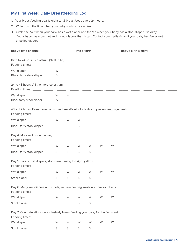# **My First Week: Daily Breastfeeding Log**

- 1. Your breastfeeding goal is eight to 12 breastfeeds every 24 hours.
- 2. Write down the time when your baby starts to breastfeed.
- 3. Circle the "W" when your baby has a wet diaper and the "S" when your baby has a stool diaper. It is okay if your baby has more wet and soiled diapers than listed. Contact your pediatrician if your baby has fewer wet or soiled diapers.

| Birth to 24 hours: colostrum ("first milk")<br>Feeding times: _______ ______ _______ ______                    |             |             |             |             |   |   |  |
|----------------------------------------------------------------------------------------------------------------|-------------|-------------|-------------|-------------|---|---|--|
| Wet diaper                                                                                                     | W           |             |             |             |   |   |  |
| Black, tarry stool diaper                                                                                      | S           |             |             |             |   |   |  |
| 24 to 48 hours: A little more colostrum<br>Feeding times: _______ _______ ______                               |             |             |             |             |   |   |  |
| Wet diaper                                                                                                     | W           | W           |             |             |   |   |  |
| Black tarry stool diaper                                                                                       | S           | S           |             |             |   |   |  |
| 48 to 72 hours: Even more colostrum (breastfeed a lot today to prevent engorgement)                            |             |             |             |             |   |   |  |
| Wet diaper                                                                                                     | W           | W           | W           |             |   |   |  |
| Black, tarry stool diaper                                                                                      | S           | $\mathsf S$ | $\mathsf S$ |             |   |   |  |
| Day 4: More milk is on the way<br>Feeding times: _______ ______ ______ ______                                  |             |             |             |             |   |   |  |
| Wet diaper                                                                                                     | W           | W           | W.          | W           | W | W |  |
| Black, tarry stool diaper                                                                                      | S           | S           | $\mathsf S$ | $\mathsf S$ |   |   |  |
| Day 5: Lots of wet diapers; stools are turning to bright yellow<br>Feeding times: _______ ______ ______ ______ |             |             |             |             |   |   |  |
| Wet diaper                                                                                                     | W           | W           | W           | W           | W | W |  |
| Stool diaper                                                                                                   | S           | S           | $\mathsf S$ | $\mathsf S$ |   |   |  |
| Day 6: Many wet diapers and stools; you are hearing swallows from your baby<br>Feeding times: _                |             |             |             |             |   |   |  |
| Wet diaper                                                                                                     | W           | W           | W           | W           | W | W |  |
| Stool diaper                                                                                                   | $\mathsf S$ | $\mathsf S$ | $\mathsf S$ | S           |   |   |  |
| Day 7: Congratulations on exclusively breastfeeding your baby for the first week<br>Feeding times: ___         |             |             |             |             |   |   |  |
| Wet diaper                                                                                                     | W           | W           | W           | W           | W | W |  |

| Stool diaper |  |  |  |
|--------------|--|--|--|